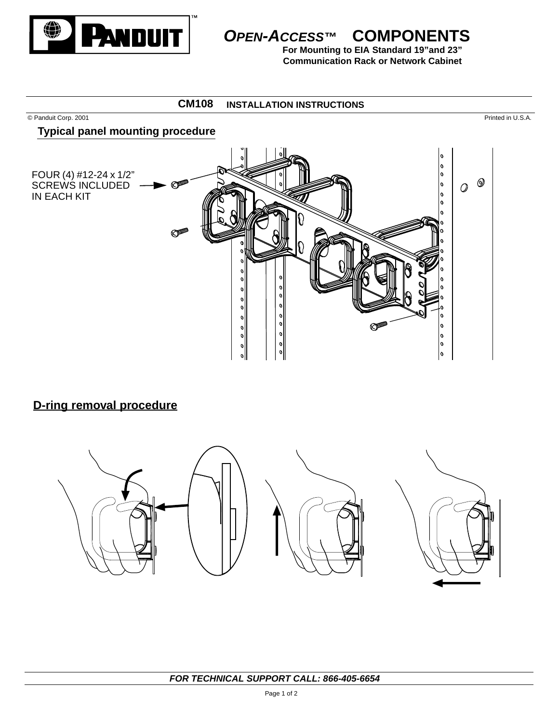

# **OPEN-ACCESS™ COMPONENTS**

**For Mounting to EIA Standard 19"and 23" Communication Rack or Network Cabinet**

### **INSTALLATION INSTRUCTIONS CM108**

© Panduit Corp. 2001 Printed in U.S.A.

### **Typical panel mounting procedure**



# **D-ring removal procedure**